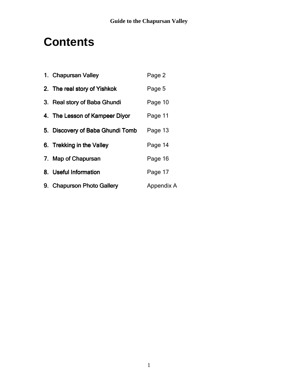# **Contents**

| 1. Chapursan Valley              | Page 2     |
|----------------------------------|------------|
| 2. The real story of Yishkok     | Page 5     |
| 3. Real story of Baba Ghundi     | Page 10    |
| 4. The Lesson of Kampeer Diyor   | Page 11    |
| 5. Discovery of Baba Ghundi Tomb | Page 13    |
| 6. Trekking in the Valley        | Page 14    |
| 7. Map of Chapursan              | Page 16    |
| 8. Useful Information            | Page 17    |
| 9. Chapurson Photo Gallery       | Appendix A |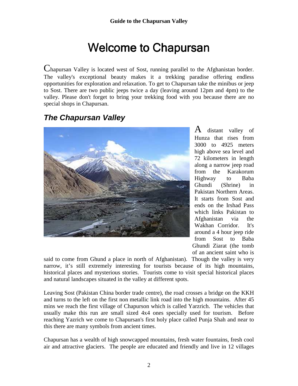# Welcome to Chapursan

Chapursan Valley is located west of Sost, running parallel to the Afghanistan border. The valley's exceptional beauty makes it a trekking paradise offering endless opportunities for exploration and relaxation. To get to Chapursan take the minibus or jeep to Sost. There are two public jeeps twice a day (leaving around 12pm and 4pm) to the valley. Please don't forget to bring your trekking food with you because there are no special shops in Chapursan.

## **The Chapursan Valley**



 $\bf{A}$  distant valley of Hunza that rises from 3000 to 4925 meters high above sea level and 72 kilometers in length along a narrow jeep road from the Karakorum Highway to Baba Ghundi (Shrine) in Pakistan Northern Areas. It starts from Sost and ends on the Irshad Pass which links Pakistan to Afghanistan via the Wakhan Corridor. It's around a 4 hour jeep ride from Sost to Baba Ghundi Ziarat (the tomb of an ancient saint who is

said to come from Ghund a place in north of Afghanistan). Though the valley is very narrow, it's still extremely interesting for tourists because of its high mountains, historical places and mysterious stories. Tourists come to visit special historical places and natural landscapes situated in the valley at different spots.

Leaving Sost (Pakistan China border trade centre), the road crosses a bridge on the KKH and turns to the left on the first non metallic link road into the high mountains. After 45 mins we reach the first village of Chapurson which is called Yarzrich. The vehicles that usually make this run are small sized 4x4 ones specially used for tourism. Before reaching Yazrich we come to Chapursan's first holy place called Punja Shah and near to this there are many symbols from ancient times.

Chapursan has a wealth of high snowcapped mountains, fresh water fountains, fresh cool air and attractive glaciers. The people are educated and friendly and live in 12 villages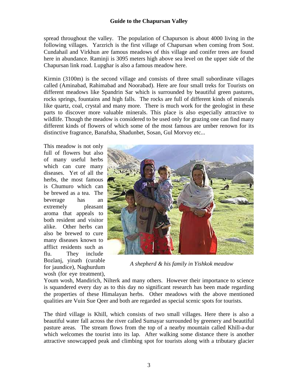spread throughout the valley. The population of Chapurson is about 4000 living in the following villages. Yarzrich is the first village of Chapursan when coming from Sost. Cundahail and Virkhun are famous meadows of this village and conifer trees are found here in abundance. Raminji is 3095 meters high above sea level on the upper side of the Chapursan link road. Lupghar is also a famous meadow here.

Kirmin (3100m) is the second village and consists of three small subordinate villages called (Aminabad, Rahimabad and Noorabad). Here are four small treks for Tourists on different meadows like Spandrin Sar which is surrounded by beautiful green pastures, rocks springs, fountains and high falls. The rocks are full of different kinds of minerals like quartz, coal, crystal and many more. There is much work for the geologist in these parts to discover more valuable minerals. This place is also especially attractive to wildlife. Though the meadow is considered to be used only for grazing one can find many different kinds of flowers of which some of the most famous are umber renown for its distinctive fragrance, Banafsha, Shadunbet, Sosan, Gul Morvoy etc...

This meadow is not only full of flowers but also of many useful herbs which can cure many diseases. Yet of all the herbs, the most famous is Chumuro which can be brewed as a tea. The beverage has an extremely pleasant aroma that appeals to both resident and visitor alike. Other herbs can also be brewed to cure many diseases known to afflict residents such as flu. They include Bozlanj, yinath (curable for jaundice), Naghurdum wosh (for eye treatment),



*A shepherd & his family in Yishkok meadow* 

Youm wosh, Mandirich, Nilterk and many others. However their importance to science is squandered every day as to this day no significant research has been made regarding the properties of these Himalayan herbs. Other meadows with the above mentioned qualities are Vuin Sue Qeer and both are regarded as special scenic spots for tourists.

The third village is Khill, which consists of two small villages. Here there is also a beautiful water fall across the river called Sumayar surrounded by greenery and beautiful pasture areas. The stream flows from the top of a nearby mountain called Khill-a-dur which welcomes the tourist into its lap. After walking some distance there is another attractive snowcapped peak and climbing spot for tourists along with a tributary glacier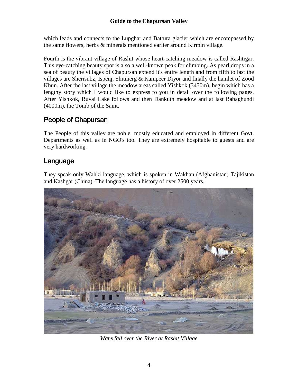which leads and connects to the Lupghar and Battura glacier which are encompassed by the same flowers, herbs & minerals mentioned earlier around Kirmin village.

Fourth is the vibrant village of Rashit whose heart-catching meadow is called Rashtigar. This eye-catching beauty spot is also a well-known peak for climbing. As pearl drops in a sea of beauty the villages of Chapursan extend it's entire length and from fifth to last the villages are Sherisubz, Ispenj, Shitmerg & Kampeer Diyor and finally the hamlet of Zood Khun. After the last village the meadow areas called Yishkok (3450m), begin which has a lengthy story which I would like to express to you in detail over the following pages. After Yishkok, Ruvai Lake follows and then Dankuth meadow and at last Babaghundi (4000m), the Tomb of the Saint.

#### People of Chapursan

The People of this valley are noble, mostly educated and employed in different Govt. Departments as well as in NGO's too. They are extremely hospitable to guests and are very hardworking.

#### Language

They speak only Wahki language, which is spoken in Wakhan (Afghanistan) Tajikistan and Kashgar (China). The language has a history of over 2500 years.



*Waterfall over the River at Rashit Village*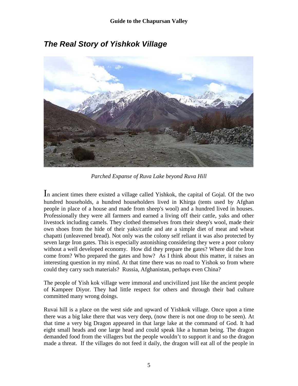

## **The Real Story of Yishkok Village**

*Parched Expanse of Ruva Lake beyond Ruva Hill* 

In ancient times there existed a village called Yishkok, the capital of Gojal. Of the two hundred households, a hundred householders lived in Khirga (tents used by Afghan people in place of a house and made from sheep's wool) and a hundred lived in houses. Professionally they were all farmers and earned a living off their cattle, yaks and other livestock including camels. They clothed themselves from their sheep's wool, made their own shoes from the hide of their yaks/cattle and ate a simple diet of meat and wheat chapatti (unleavened bread). Not only was the colony self reliant it was also protected by seven large Iron gates. This is especially astonishing considering they were a poor colony without a well developed economy. How did they prepare the gates? Where did the Iron come from? Who prepared the gates and how? As I think about this matter, it raises an interesting question in my mind. At that time there was no road to Yishok so from where could they carry such materials? Russia, Afghanistan, perhaps even China?

The people of Yish kok village were immoral and uncivilized just like the ancient people of Kampeer Diyor. They had little respect for others and through their bad culture committed many wrong doings.

Ruvai hill is a place on the west side and upward of Yishkok village. Once upon a time there was a big lake there that was very deep, (now there is not one drop to be seen). At that time a very big Dragon appeared in that large lake at the command of God. It had eight small heads and one large head and could speak like a human being. The dragon demanded food from the villagers but the people wouldn't to support it and so the dragon made a threat. If the villages do not feed it daily, the dragon will eat all of the people in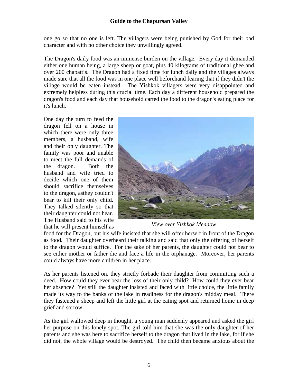one go so that no one is left. The villagers were being punished by God for their bad character and with no other choice they unwillingly agreed.

The Dragon's daily food was an immense burden on the village. Every day it demanded either one human being, a large sheep or goat, plus 40 kilograms of traditional ghee and over 200 chapattis. The Dragon had a fixed time for lunch daily and the villages always made sure that all the food was in one place well beforehand fearing that if they didn't the village would be eaten instead. The Yishkok villagers were very disappointed and extremely helpless during this crucial time. Each day a different household prepared the dragon's food and each day that household carted the food to the dragon's eating place for it's lunch.

One day the turn to feed the dragon fell on a house in which there were only three members, a husband, wife and their only daughter. The family was poor and unable to meet the full demands of the dragon. Both the husband and wife tried to decide which one of them should sacrifice themselves to the dragon, asthey couldn't bear to kill their only child. They talked silently so that their daughter could not hear. The Husband said to his wife that he will present himself as



*View over Yishkok Meadow* 

food for the Dragon, but his wife insisted that she will offer herself in front of the Dragon as food. Their daughter overheard their talking and said that only the offering of herself to the dragon would suffice. For the sake of her parents, the daughter could not bear to see either mother or father die and face a life in the orphanage. Moreover, her parents could always have more children in her place.

As her parents listened on, they strictly forbade their daughter from committing such a deed. How could they ever bear the loss of their only child? How could they ever bear her absence? Yet still the daughter insisted and faced with little choice, the little family made its way to the banks of the lake in readiness for the dragon's midday meal. There they fastened a sheep and left the little girl at the eating spot and returned home in deep grief and sorrow.

As the girl wallowed deep in thought, a young man suddenly appeared and asked the girl her purpose on this lonely spot. The girl told him that she was the only daughter of her parents and she was here to sacrifice herself to the dragon that lived in the lake, for if she did not, the whole village would be destroyed. The child then became anxious about the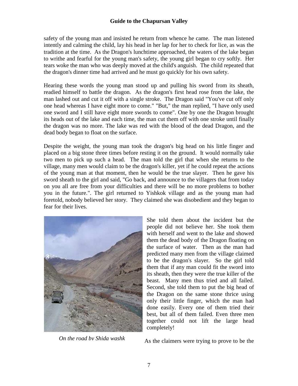safety of the young man and insisted he return from whence he came. The man listened intently and calming the child, lay his head in her lap for her to check for lice, as was the tradition at the time. As the Dragon's lunchtime approached, the waters of the lake began to writhe and fearful for the young man's safety, the young girl began to cry softly. Her tears woke the man who was deeply moved at the child's anguish. The child repeated that the dragon's dinner time had arrived and he must go quickly for his own safety.

Hearing these words the young man stood up and pulling his sword from its sheath, readied himself to battle the dragon. As the dragon's first head rose from the lake, the man lashed out and cut it off with a single stroke. The Dragon said "You've cut off only one head whereas I have eight more to come." "But," the man replied, "I have only used one sword and I still have eight more swords to come". One by one the Dragon brought its heads out of the lake and each time, the man cut them off with one stroke until finally the dragon was no more. The lake was red with the blood of the dead Dragon, and the dead body began to float on the surface.

Despite the weight, the young man took the dragon's big head on his little finger and placed on a big stone three times before resting it on the ground. It would normally take two men to pick up such a head. The man told the girl that when she returns to the village, many men would claim to be the dragon's killer, yet if he could repeat the actions of the young man at that moment, then he would be the true slayer. Then he gave his sword sheath to the girl and said, "Go back, and announce to the villagers that from today on you all are free from your difficulties and there will be no more problems to bother you in the future.". The girl returned to Yishkok village and as the young man had foretold, nobody believed her story. They claimed she was disobedient and they began to fear for their lives.



She told them about the incident but the people did not believe her. She took them with herself and went to the lake and showed them the dead body of the Dragon floating on the surface of water. Then as the man had predicted many men from the village claimed to be the dragon's slayer. So the girl told them that if any man could fit the sword into its sheath, then they were the true killer of the beast. Many men thus tried and all failed. Second, she told them to put the big head of the Dragon on the same stone thrice using only their little finger, which the man had done easily. Every one of them tried their best, but all of them failed. Even three men together could not lift the large head completely!

*On the road by Shida washk* As the claimers were trying to prove to be the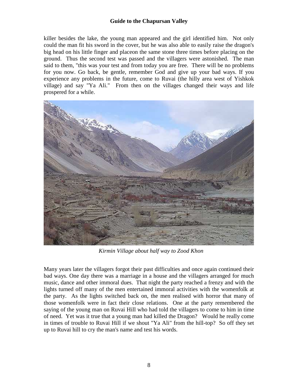killer besides the lake, the young man appeared and the girl identified him. Not only could the man fit his sword in the cover, but he was also able to easily raise the dragon's big head on his little finger and placeon the same stone three times before placing on the ground. Thus the second test was passed and the villagers were astonished. The man said to them, "this was your test and from today you are free. There will be no problems for you now. Go back, be gentle, remember God and give up your bad ways. If you experience any problems in the future, come to Ruvai (the hilly area west of Yishkok village) and say "Ya Ali." From then on the villages changed their ways and life prospered for a while.



*Kirmin Village about half way to Zood Khon* 

Many years later the villagers forgot their past difficulties and once again continued their bad ways. One day there was a marriage in a house and the villagers arranged for much music, dance and other immoral dues. That night the party reached a frenzy and with the lights turned off many of the men entertained immoral activities with the womenfolk at the party. As the lights switched back on, the men realised with horror that many of those womenfolk were in fact their close relations. One at the party remembered the saying of the young man on Ruvai Hill who had told the villagers to come to him in time of need. Yet was it true that a young man had killed the Dragon? Would he really come in times of trouble to Ruvai Hill if we shout "Ya Ali" from the hill-top? So off they set up to Ruvai hill to cry the man's name and test his words.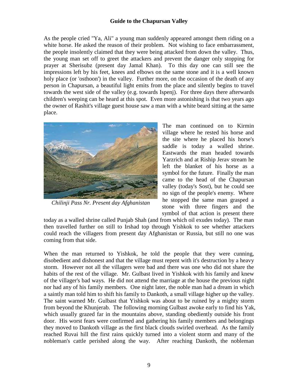As the people cried "Ya, Ali" a young man suddenly appeared amongst them riding on a white horse. He asked the reason of their problem. Not wishing to face embarrassment, the people insolently claimed that they were being attacked from down the valley. Thus, the young man set off to greet the attackers and prevent the danger only stopping for prayer at Sherisubz (present day Jamal Khan). To this day one can still see the impressions left by his feet, knees and elbows on the same stone and it is a well known holy place (or 'osthoon') in the valley. Further more, on the occasion of the death of any person in Chapursan, a beautiful light emits from the place and silently begins to travel towards the west side of the valley (e.g. towards Ispenj). For three days there afterwards children's weeping can be heard at this spot. Even more astonishing is that two years ago the owner of Rashit's village guest house saw a man with a white beard sitting at the same place.



*Chilinji Pass Nr. Present day Afghanistan* 

The man continued on to Kirmin village where he rested his horse and the site where he placed his horse's saddle is today a walled shrine. Eastwards the man headed towards Yarzrich and at Riship Jerav stream he left the blanket of his horse as a symbol for the future. Finally the man came to the head of the Chapursan valley (today's Sost), but he could see no sign of the people's enemy. Where he stopped the same man grasped a stone with three fingers and the symbol of that action is present there

today as a walled shrine called Punjab Shah (and from which oil exudes today). The man then travelled further on still to Irshad top through Yishkok to see whether attackers could reach the villagers from present day Afghanistan or Russia, but still no one was coming from that side.

When the man returned to Yishkok, he told the people that they were cunning, disobedient and dishonest and that the village must repent with it's destruction by a heavy storm. However not all the villagers were bad and there was one who did not share the habits of the rest of the village. Mr. Gulbast lived in Yishkok with his family and knew of the villager's bad ways. He did not attend the marriage at the house the previous night nor had any of his family members. One night later, the noble man had a dream in which a saintly man told him to shift his family to Dankoth, a small village higher up the valley. The saint warned Mr. Gulbast that Yishkok was about to be ruined by a mighty storm from beyond the Khunjerab. The following morning Gulbast awoke early to find his Yak, which usually grazed far in the mountains above, standing obediently outside his front door. His worst fears were confirmed and gathering his family members and belongings they moved to Dankoth village as the first black clouds swirled overhead. As the family reached Ruvai hill the first rains quickly turned into a violent storm and many of the nobleman's cattle perished along the way. After reaching Dankoth, the nobleman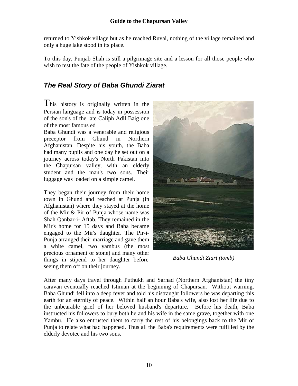returned to Yishkok village but as he reached Ruvai, nothing of the village remained and only a huge lake stood in its place.

To this day, Punjab Shah is still a pilgrimage site and a lesson for all those people who wish to test the fate of the people of Yishkok village.

## **The Real Story of Baba Ghundi Ziarat**

This history is originally written in the Persian language and is today in possession of the son's of the late Caliph Adil Baig one of the most famous ed

Baba Ghundi was a venerable and religious preceptor from Ghund in Northern Afghanistan. Despite his youth, the Baba had many pupils and one day he set out on a journey across today's North Pakistan into the Chapursan valley, with an elderly student and the man's two sons. Their luggage was loaded on a simple camel.

They began their journey from their home town in Ghund and reached at Punja (in Afghanistan) where they stayed at the home of the Mir & Pir of Punja whose name was Shah Qanbar-i- Aftab. They remained in the Mir's home for 15 days and Baba became engaged to the Mir's daughter. The Pir-i-Punja arranged their marriage and gave them a white camel, two yambus (the most precious ornament or stone) and many other things in stipend to her daughter before seeing them off on their journey.



*Baba Ghundi Ziart (tomb)* 

After many days travel through Puthukh and Sarhad (Northern Afghanistan) the tiny caravan eventually reached Istiman at the beginning of Chapursan. Without warning, Baba Ghundi fell into a deep fever and told his distraught followers he was departing this earth for an eternity of peace. Within half an hour Baba's wife, also lost her life due to the unbearable grief of her beloved husband's departure. Before his death, Baba instructed his followers to bury both he and his wife in the same grave, together with one Yambu. He also entrusted them to carry the rest of his belongings back to the Mir of Punja to relate what had happened. Thus all the Baba's requirements were fulfilled by the elderly devotee and his two sons.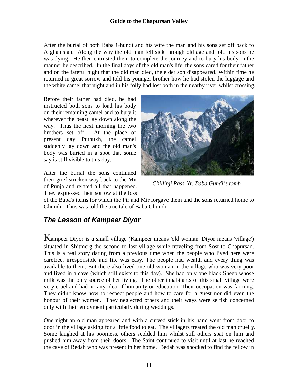After the burial of both Baba Ghundi and his wife the man and his sons set off back to Afghanistan. Along the way the old man fell sick through old age and told his sons he was dying. He then entrusted them to complete the journey and to bury his body in the manner he described. In the final days of the old man's life, the sons cared for their father and on the fateful night that the old man died, the elder son disappeared. Within time he returned in great sorrow and told his younger brother how he had stolen the luggage and the white camel that night and in his folly had lost both in the nearby river whilst crossing.

Before their father had died, he had instructed both sons to load his body on their remaining camel and to bury it wherever the beast lay down along the way. Thus the next morning the two brothers set off. At the place of present day Puthukh, the camel suddenly lay down and the old man's body was buried in a spot that some say is still visible to this day.

After the burial the sons continued their grief stricken way back to the Mir of Punja and related all that happened. They expressed their sorrow at the loss



*Chillinji Pass Nr. Baba Gundi's tomb* 

of the Baba's items for which the Pir and Mir forgave them and the sons returned home to Ghundi. Thus was told the true tale of Baba Ghundi.

#### **The Lesson of Kampeer Diyor**

Kampeer Diyor is a small village (Kampeer means 'old woman' Diyor means 'village') situated in Shitmerg the second to last village while traveling from Sost to Chapursan. This is a real story dating from a previous time when the people who lived here were carefree, irresponsible and life was easy. The people had wealth and every thing was available to them. But there also lived one old woman in the village who was very poor and lived in a cave (which still exists to this day). She had only one black Sheep whose milk was the only source of her living. The other inhabitants of this small village were very cruel and had no any idea of humanity or education. Their occupation was farming. They didn't know how to respect people and how to care for a guest nor did even the honour of their women. They neglected others and their ways were selfish concerned only with their enjoyment particularly during weddings.

One night an old man appeared and with a curved stick in his hand went from door to door in the village asking for a little food to eat. The villagers treated the old man cruelly. Some laughed at his poorness, others scolded him whilst still others spat on him and pushed him away from their doors. The Saint continued to visit until at last he reached the cave of Bedah who was present in her home. Bedah was shocked to find the fellow in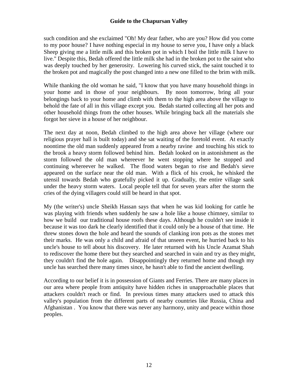such condition and she exclaimed "Oh! My dear father, who are you? How did you come to my poor house? I have nothing especial in my house to serve you, I have only a black Sheep giving me a little milk and this broken pot in which I boil the little milk I have to live." Despite this, Bedah offered the little milk she had in the broken pot to the saint who was deeply touched by her generosity. Lowering his curved stick, the saint touched it to the broken pot and magically the post changed into a new one filled to the brim with milk.

While thanking the old woman he said, "I know that you have many household things in your home and in those of your neighbours. By noon tomorrow, bring all your belongings back to your home and climb with them to the high area above the village to behold the fate of all in this village except you. Bedah started collecting all her pots and other household things from the other houses. While bringing back all the materials she forgot her sieve in a house of her neighbour.

The next day at noon, Bedah climbed to the high area above her village (where our religious prayer hall is built today) and she sat waiting of the foretold event. At exactly noontime the old man suddenly appeared from a nearby ravine and touching his stick to the brook a heavy storm followed behind him. Bedah looked on in astonishment as the storm followed the old man whereever he went stopping where he stopped and continuing whereever he walked. The flood waters began to rise and Bedah's sieve appeared on the surface near the old man. With a flick of his crook, he whisked the utensil towards Bedah who gratefully picked it up. Gradually, the entire village sank under the heavy storm waters. Local people tell that for seven years after the storm the cries of the dying villagers could still be heard in that spot.

My (the writer's) uncle Sheikh Hassan says that when he was kid looking for cattle he was playing with friends when suddenly he saw a hole like a house chimney, similar to how we build our traditional house roofs these days. Although he couldn't see inside it because it was too dark he clearly identified that it could only be a house of that time. He threw stones down the hole and heard the sounds of clanking iron pots as the stones met their marks. He was only a child and afraid of that unseen event, he hurried back to his uncle's house to tell about his discovery. He later returned with his Uncle Azamat Shah to rediscover the home there but they searched and searched in vain and try as they might, they couldn't find the hole again. Disappointingly they returned home and though my uncle has searched there many times since, he hasn't able to find the ancient dwelling.

According to our belief it is in possession of Giants and Ferries. There are many places in our area where people from antiquity have hidden riches in unapproachable places that attackers couldn't reach or find. In previous times many attackers used to attack this valley's population from the different parts of nearby countries like Russia, China and Afghanistan . You know that there was never any harmony, unity and peace within those peoples.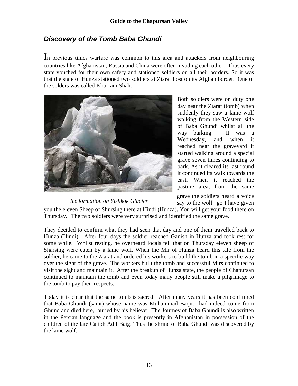### **Discovery of the Tomb Baba Ghundi**

In previous times warfare was common to this area and attackers from neighbouring countries like Afghanistan, Russia and China were often invading each other. Thus every state vouched for their own safety and stationed soldiers on all their borders. So it was that the state of Hunza stationed two soldiers at Ziarat Post on its Afghan border. One of the solders was called Khurram Shah.



*Ice formation on Yishkok Glacier* 

Both soldiers were on duty one day near the Ziarat (tomb) when suddenly they saw a lame wolf walking from the Western side of Baba Ghundi whilst all the way barking. It was a Wednesday, and when it reached near the graveyard it started walking around a special grave seven times continuing to bark. As it cleared its last round it continued its walk towards the east. When it reached the pasture area, from the same

grave the soldiers heard a voice say to the wolf "go I have given

you the eleven Sheep of Shursing there at Hindi (Hunza). You will get your food there on Thursday." The two soldiers were very surprised and identified the same grave.

They decided to confirm what they had seen that day and one of them travelled back to Hunza (Hindi). After four days the soldier reached Ganish in Hunza and took rest for some while. Whilst resting, he overheard locals tell that on Thursday eleven sheep of Sharsing were eaten by a lame wolf. When the Mir of Hunza heard this tale from the soldier, he came to the Ziarat and ordered his workers to build the tomb in a specific way over the sight of the grave. The workers built the tomb and successful Mirs continued to visit the sight and maintain it. After the breakup of Hunza state, the people of Chapursan continued to maintain the tomb and even today many people still make a pilgrimage to the tomb to pay their respects.

Today it is clear that the same tomb is sacred. After many years it has been confirmed that Baba Ghundi (saint) whose name was Muhammad Baqir, had indeed come from Ghund and died here, buried by his believer. The Journey of Baba Ghundi is also written in the Persian language and the book is presently in Afghanistan in possession of the children of the late Caliph Adil Baig. Thus the shrine of Baba Ghundi was discovered by the lame wolf.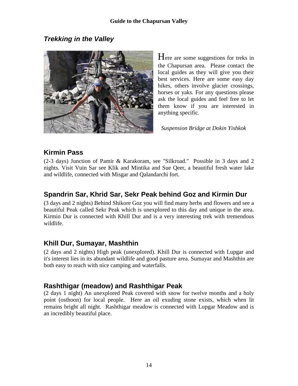### **Trekking in the Valley**



Here are some suggestions for treks in the Chapursan area. Please contact the local guides as they will give you their best services. Here are some easy day hikes, others involve glacier crossings, horses or yaks. For any questions please ask the local guides and feel free to let them know if you are interested in anything specific.

*Suspension Bridge at Dokin Yishkok* 

## **Kirmin Pass**

(2-3 days) Junction of Pamir & Karakoram, see "Silkroad." Possible in 3 days and 2 nights. Visit Vuin Sar see Klik and Mintika and Sue Qeer, a beautiful fresh water lake and wildlife, connected with Misgar and Qalandarchi fort.

#### **Spandrin Sar, Khrid Sar, Sekr Peak behind Goz and Kirmin Dur**

(3 days and 2 nights) Behind Shikore Goz you will find many herbs and flowers and see a beautiful Peak called Sekr Peak which is unexplored to this day and unique in the area. Kirmin Dur is connected with Khill Dur and is a very interesting trek with tremendous wildlife.

#### **Khill Dur, Sumayar, Mashthin**

(2 days and 2 nights) High peak (unexplored). Khill Dur is connected with Lupgar and it's interest lies in its abundant wildlife and good pasture area. Sumayar and Mashthin are both easy to reach with nice camping and waterfalls.

#### **Rashthigar (meadow) and Rashthigar Peak**

(2 days 1 night) An unexplored Peak covered with snow for twelve months and a holy point (osthoon) for local people. Here an oil exuding stone exists, which when lit remains bright all night. Rashthigar meadow is connected with Lupgar Meadow and is an incredibly beautiful place.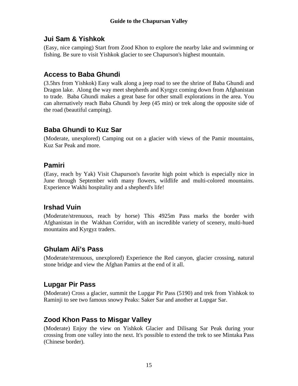#### **Jui Sam & Yishkok**

(Easy, nice camping) Start from Zood Khon to explore the nearby lake and swimming or fishing. Be sure to visit Yishkok glacier to see Chapurson's highest mountain.

### **Access to Baba Ghundi**

(3.5hrs from Yishkok) Easy walk along a jeep road to see the shrine of Baba Ghundi and Dragon lake. Along the way meet shepherds and Kyrgyz coming down from Afghanistan to trade. Baba Ghundi makes a great base for other small explorations in the area. You can alternatively reach Baba Ghundi by Jeep (45 min) or trek along the opposite side of the road (beautiful camping).

#### **Baba Ghundi to Kuz Sar**

(Moderate, unexplored) Camping out on a glacier with views of the Pamir mountains, Kuz Sar Peak and more.

#### **Pamiri**

(Easy, reach by Yak) Visit Chapurson's favorite high point which is especially nice in June through September with many flowers, wildlife and multi-colored mountains. Experience Wakhi hospitality and a shepherd's life!

## **Irshad Vuin**

(Moderate/strenuous, reach by horse) This 4925m Pass marks the border with Afghanistan in the Wakhan Corridor, with an incredible variety of scenery, multi-hued mountains and Kyrgyz traders.

#### **Ghulam Ali's Pass**

(Moderate/strenuous, unexplored) Experience the Red canyon, glacier crossing, natural stone bridge and view the Afghan Pamirs at the end of it all.

#### **Lupgar Pir Pass**

(Moderate) Cross a glacier, summit the Lupgar Pir Pass (5190) and trek from Yishkok to Raminji to see two famous snowy Peaks: Saker Sar and another at Lupgar Sar.

#### **Zood Khon Pass to Misgar Valley**

(Moderate) Enjoy the view on Yishkok Glacier and Dilisang Sar Peak during your crossing from one valley into the next. It's possible to extend the trek to see Mintaka Pass (Chinese border).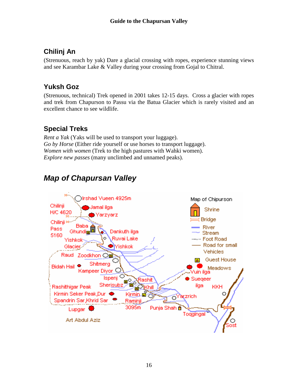## **Chilinj An**

(Strenuous, reach by yak) Dare a glacial crossing with ropes, experience stunning views and see Karambar Lake & Valley during your crossing from Gojal to Chitral.

### **Yuksh Goz**

(Strenuous, technical) Trek opened in 2001 takes 12-15 days. Cross a glacier with ropes and trek from Chapurson to Passu via the Batua Glacier which is rarely visited and an excellent chance to see wildlife.

## **Special Treks**

*Rent a Yak* (Yaks will be used to transport your luggage). *Go by Horse* (Either ride yourself or use horses to transport luggage). *Women with women* (Trek to the high pastures with Wahki women). *Explore new passes* (many unclimbed and unnamed peaks).

# **Map of Chapursan Valley**